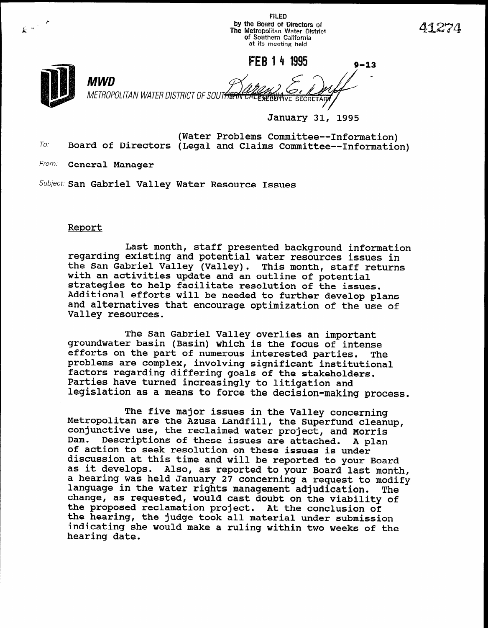FLED by the Board of Direcfors of The Metropolitan Water District of Southern California at its meeting held

t\*

k -'

FEB 1 4 1995  $9-13$ -<br>-MWD METROPOLITAN WATER DISTRICT OF SOUT<del>HERN</del> **TIVE SECRE** 

January 31, 1995

To. (Water Problems Committee--Information) Board of Directors (Legal and Claims Committee--Information)

From: **General Manager** 

Subject: San Gabriel Valley Water Resource Issues

## Report

Last month, staff presented background information regarding existing and potential water resources issues in the San Gabriel Valley (Valley). This month, staff returns une ban Gabrier valley (valley). This month, Staff with an accivities update and an outline of potential scrategres to herp racificate resolution of the issues.<br>Additional offerts will be needed to further develop plan and alternatives will be needed to further develop plans and alternatives that encourage optimization of the use of Valley resources.

The San Gabriel Valley overlies an important groundwater basin (Basin) which is the formulation intense intense in the focus of intense intense intense in the formulation of the focus of the formulation in the formulation of the formulation of the formulation of the efforts on the part of numerous interested parties. The problems are complex, involving significant institutional factors regarding differing goals of the stakeholders. Parties have turned increasingly to litigation and legislation as a means to force the decision-making process.

The five major issues in the Valley concerning  $\mathbb{R}$  . The five major issues in the Valley concerning Metropolitan are the Azusa Landfill, the Superfund cleanup, conjunctive use, the reclaimed water project, and Morris Dam. Descriptions of these issues are attached. A plan of action to seek resolution on these issues is under discussion at this time and will be reported to your Board as it develops. Also, as reported to your Board last month,<br>a hearing was held January 27 concerning a request to modify language in the water rights management adjudication. The change, as requested, would cast doubt on the viability of the proposed reclamation project. At the conclusion of the hearing, the judge took all material under submission indicating she would make a ruling within two weeks of the hearing date.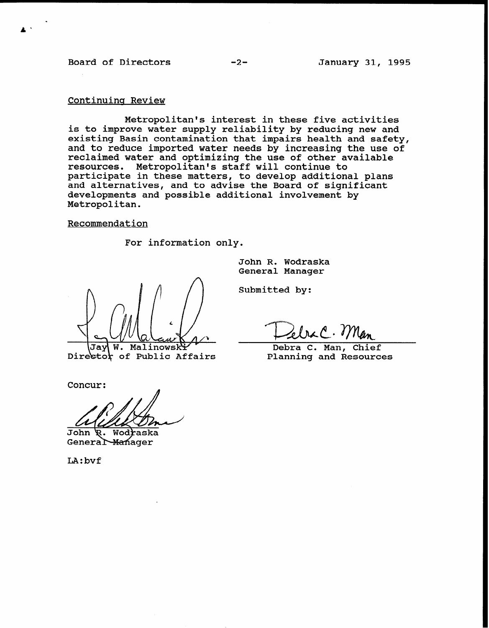Board of Directors -2-<br>
-2-<br>
January 31, 1995

# Continuing Review

Metropolitan's interest in these five activities is to improve water supply reliability by reducing new and existing Basin contamination that impairs health and safety, and to reduce imported water needs by increasing the use of reclaimed water and optimizing the use of other available resources. Metropolitan's staff will continue to participate in these matters, to develop additional plans and alternatives, and to advise the Board of significant developments and possible additional involvement by Metropolitan.

#### Recommendation

For information only.

John R. Wodraska General Manager

W. Malinowski Jav

Submitted by:

Debra C. Man, Chief Planning and Resources

Director of Public Affairs

Concur:

John Wodraska General Manager

LA:bvf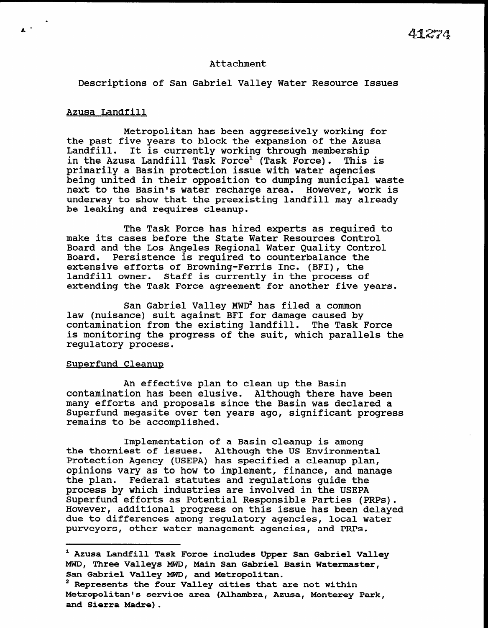#### Attachment

Descriptions of San Gabriel Valley Water Resource Issues

### Azusa Landfill

Metropolitan has been aggressively working for the past five years to block the expansion of the Azusa Landfill. It is currently working through membership in the Azusa Landfill Task Force<sup>1</sup> (Task Force). This is primarily a Basin protection issue with water agencies being united in their opposition to dumping municipal waste next to the Basin's water recharge area. However, work is underway to show that the preexisting landfill may already be leaking and requires cleanup.

The Task Force has hired experts as required to make its cases before the State Water Resources Control Board and the Los Angeles Regional Water Quality Control Board. Persistence is required to counterbalance the extensive efforts of Browning-Ferris Inc. (BFI), the landfill owner. Staff is currently in the process of extending the Task Force agreement for another five years.

San Gabriel Valley MWD\* has filed a common all Gabriel Valley MWD Has Illed a COMMON<br>law (nuisance) suit against BFI for damage caused by law (nuisance) suit against BFI for damage caused by contamination from the existing landfill. The Task Force CONCAMINACION ITOM CHE EXISCING IANUITII. THE TASK FORCE<br>is monitoring the progress of the suit, which parallels the regulatoring che<br>regulatoring che

### Superfund Cleanup

An effective plan to clean up the Basin An errective plan to clean up the Basin<br>contamination has been alumine. Although these have been contamination has been elusive. Although there have been many efforts and proposals since the Basin was declared a Superfund megasite over ten years ago, significant progress remains to be accomplished.

 $\overline{a}$  is a Basin cleanup is a Basin cleanup is a Basin cleanup is a Basin cleanup is a Basin cleanup is a Basin cleanup is a Basin cleanup is a Basin cleanup is a Basin cleanup is a Basin cleanup is a Basin cleanup is the thornies is the thornies of a Basin cleanup is among the thorniest of issues. Although the US Environmental Protection Agency (USEPA) has specified a cleanup plan, opinions vary as to how to implement, finance, and manage the plan. Federal statutes and requlations quide the process by which industries are involved in the USEPA Superfund efforts as Potential Responsible Parties (PRPs). However, additional progress on this issue has been delayed due to differences among regulatory agencies, local water<br>purveyors, other water management agencies, and PRPs.

' Azusa Landfill Task Force includes Upper San Gabriel Valley (1989) and the Upper San Gabriel Valley (1989) and the Upper San Gabriel Valley (1989) and the Upper San Gabriel Valley (1989) and the Upper San Gabriel Valley

<sup>&</sup>lt;sup>1</sup> Azusa Landfill Task Force includes Upper San Gabriel Valley MWD, Three Valleys MWD, Main San Gabriel Basin Watermaster, San Gabriel Valley MWD, and Metropolitan.

 $^2$  Represents the four Valley cities that are not within Metropolitan's service area (Alhambra, Azusa, Monterey Park, and Sierra Madre).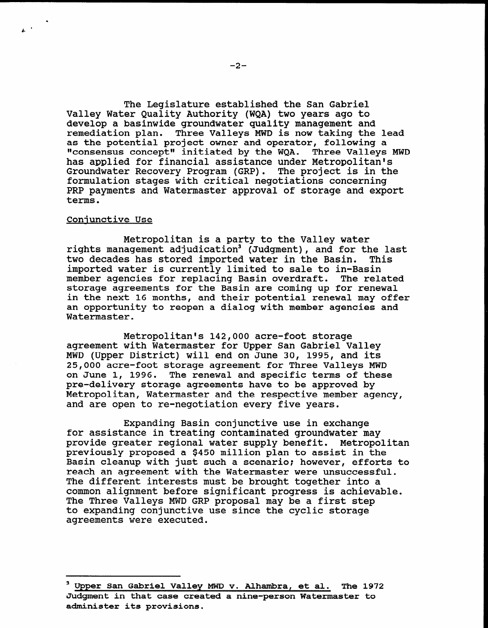The Legislature established the San Gabriel Valley Water Quality Authority (WQA) two years ago to develop a basinwide groundwater quality management and remediation plan. Three Valleys MWD is now taking the lead as the potential project owner and operator, following a "consensus concept" initiated by the WQA. Three Valleys MWD has applied for financial assistance under Metropolitan's Groundwater Recovery Program (GRP). The project is in the formulation stages with critical negotiations concerning PRP payments and Watermaster approval of storage and export terms.

#### Coniunctive Use

.

 $\mathbf{r}^{(k)}$ 

Metropolitan is a party to the Valley water rights management adjudication<sup>3</sup> (Judgment), and for the last tights management aujuultation (buugment), and for the fo<br>two decades has stored imported water in the Basin. This imported water is currently limited to sale to in-Basin imported water is currently limited to sale to in-Basin<br>member agencies for replacing Basin overdraft. The related storage agreements for the Basin are coming up for renewal storage agreements for the basin are coming up for renewal<br>in the next 16 months, and their potential renewal may offe an opportunity to reopen a dialog with member agencies and an opportunity to reopen a dialog with member agencies and Watermaster.

Metropolitan's 142,000 acre-foot storage metropolitan's 142,000 acre-foot storage<br>Agreement with Wetermaster for Upper San Gabriel Valle agreement with Watermaster for Upper San Gabriel Valley MWD (Upper District) will end on June 30, 1995, and its 25,000 acre-foot storage agreement for Three Valleys MWD on June 1, 1996. The renewal and specific terms of these pre-delivery storage agreements have to be approved by Metropolitan, Watermaster and the respective member agency,<br>and are open to re-negotiation every five years.

 $E = \frac{1}{2}$ for a formulation is treating that in the second groundwater may be a formulated groundwater may be a second water many second was a second water may be a second water may be a second water may be a second water may be a s for assistance in treating contaminated groundwater may provide greater regional water supply benefit. Metropolitan previously proposed a \$450 million plan to assist in the Basin cleanup with just such a scenario; however, efforts to reach an agreement with the Watermaster were unsuccessful. The different interests must be brought together into a common alignment before significant progress is achievable. The Three Valleys MWD GRP proposal may be a first step to expanding conjunctive use since the cyclic storage agreements were executed.

3Upper San Gabriel Valley MWD v. Alhambra, et al. The 1972 v. Alhambra, et al. The 1972 v. Alhambra, et al. Th

Upper San Gabriel Valley MWD v. Alhambra, et al. The 1972 Judgment in that case created a nine-person Watermaster to administer its provisions.